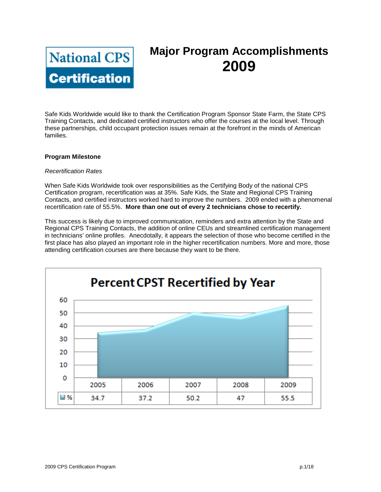

# **Major Program Accomplishments 2009**

Safe Kids Worldwide would like to thank the Certification Program Sponsor State Farm, the State CPS Training Contacts, and dedicated certified instructors who offer the courses at the local level. Through these partnerships, child occupant protection issues remain at the forefront in the minds of American families.

#### **Program Milestone**

#### *Recertification Rates*

When Safe Kids Worldwide took over responsibilities as the Certifying Body of the national CPS Certification program, recertification was at 35%. Safe Kids, the State and Regional CPS Training Contacts, and certified instructors worked hard to improve the numbers. 2009 ended with a phenomenal recertification rate of 55.5%. **More than one out of every 2 technicians chose to recertify.**

This success is likely due to improved communication, reminders and extra attention by the State and Regional CPS Training Contacts, the addition of online CEUs and streamlined certification management in technicians' online profiles. Anecdotally, it appears the selection of those who become certified in the first place has also played an important role in the higher recertification numbers. More and more, those attending certification courses are there because they want to be there.

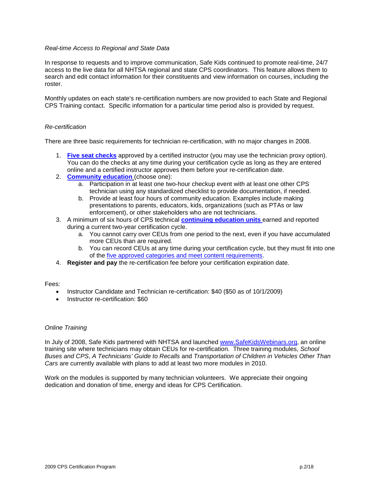### *Real-time Access to Regional and State Data*

In response to requests and to improve communication, Safe Kids continued to promote real-time, 24/7 access to the live data for all NHTSA regional and state CPS coordinators. This feature allows them to search and edit contact information for their constituents and view information on courses, including the roster.

Monthly updates on each state's re-certification numbers are now provided to each State and Regional CPS Training contact. Specific information for a particular time period also is provided by request.

#### *Re-certification*

There are three basic requirements for technician re-certification, with no major changes in 2008.

- 1. **[Five seat checks](http://www.safekids.org/certification/recertification/regRequirments.html#log)** approved by a certified instructor (you may use the technician proxy option). You can do the checks at any time during your certification cycle as long as they are entered online and a certified instructor approves them before your re-certification date.
- 2. **[Community education](http://sk.convio.net/site/R?i=UsbbEEnwZfRkR3b5toqx9g..)** (choose one):
	- a. Participation in at least one two-hour checkup event with at least one other CPS technician using any standardized checklist to provide documentation, if needed.
	- b. Provide at least four hours of community education. Examples include making presentations to parents, educators, kids, organizations (such as PTAs or law enforcement), or other stakeholders who are not technicians.
- 3. A minimum of six hours of CPS technical **[continuing education units](http://sk.convio.net/site/R?i=SNaYIVVsUbxLRH4AgypPIA..)** earned and reported during a current two-year certification cycle.
	- a. You cannot carry over CEUs from one period to the next, even if you have accumulated more CEUs than are required.
	- b. You can record CEUs at any time during your certification cycle, but they must fit into one of the [five approved categories and meet content requirements.](http://sk.convio.net/site/R?i=2boZmLNSqRC0WU2rLD04sA..)
- 4. **Register and pay** the re-certification fee before your certification expiration date.

Fees:

- Instructor Candidate and Technician re-certification: \$40 (\$50 as of 10/1/2009)
- Instructor re-certification: \$60

#### *Online Training*

In July of 2008, Safe Kids partnered with NHTSA and launched [www.SafeKidsWebinars.org,](http://www.safekidswebinars.org/) an online training site where technicians may obtain CEUs for re-certification*.* Three training modules, *School Buses and CPS*, *A Technicians' Guide to Recalls* and *Transportation of Children in Vehicles Other Than Cars* are currently available with plans to add at least two more modules in 2010.

Work on the modules is supported by many technician volunteers. We appreciate their ongoing dedication and donation of time, energy and ideas for CPS Certification.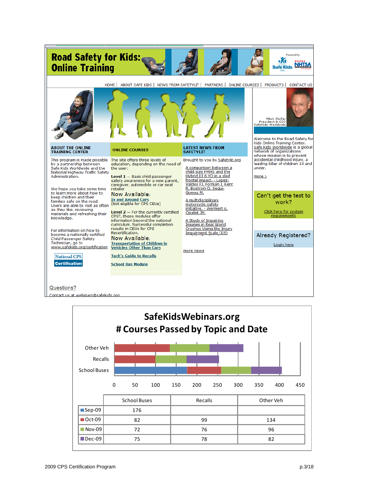

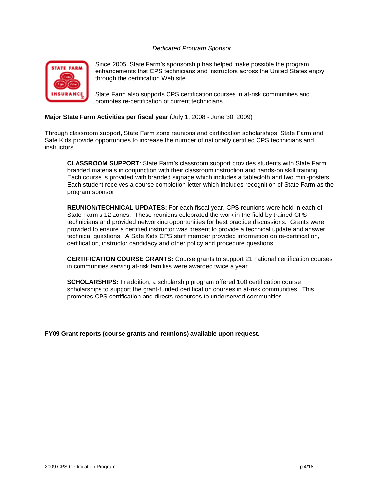## *Dedicated Program Sponsor*



Since 2005, State Farm's sponsorship has helped make possible the program enhancements that CPS technicians and instructors across the United States enjoy through the certification Web site.

State Farm also supports CPS certification courses in at-risk communities and promotes re-certification of current technicians.

#### **Major State Farm Activities per fiscal year** (July 1, 2008 - June 30, 2009)

Through classroom support, State Farm zone reunions and certification scholarships, State Farm and Safe Kids provide opportunities to increase the number of nationally certified CPS technicians and instructors.

**CLASSROOM SUPPORT**: State Farm's classroom support provides students with State Farm branded materials in conjunction with their classroom instruction and hands-on skill training. Each course is provided with branded signage which includes a tablecloth and two mini-posters. Each student receives a course completion letter which includes recognition of State Farm as the program sponsor.

**REUNION/TECHNICAL UPDATES:** For each fiscal year, CPS reunions were held in each of State Farm's 12 zones. These reunions celebrated the work in the field by trained CPS technicians and provided networking opportunities for best practice discussions. Grants were provided to ensure a certified instructor was present to provide a technical update and answer technical questions. A Safe Kids CPS staff member provided information on re-certification, certification, instructor candidacy and other policy and procedure questions.

**CERTIFICATION COURSE GRANTS:** Course grants to support 21 national certification courses in communities serving at-risk families were awarded twice a year.

**SCHOLARSHIPS:** In addition, a scholarship program offered 100 certification course scholarships to support the grant-funded certification courses in at-risk communities. This promotes CPS certification and directs resources to underserved communities.

**FY09 Grant reports (course grants and reunions) available upon request.**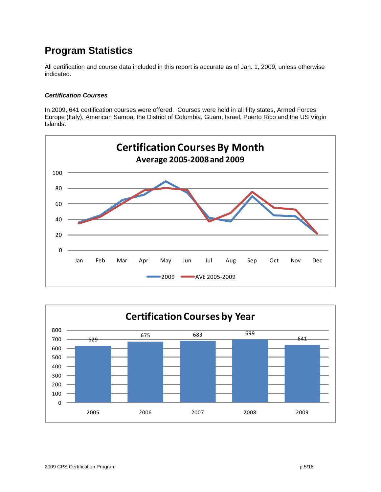## **Program Statistics**

All certification and course data included in this report is accurate as of Jan. 1, 2009, unless otherwise indicated.

## *Certification Courses*

In 2009, 641 certification courses were offered. Courses were held in all fifty states, Armed Forces Europe (Italy), American Samoa, the District of Columbia, Guam, Israel, Puerto Rico and the US Virgin Islands.



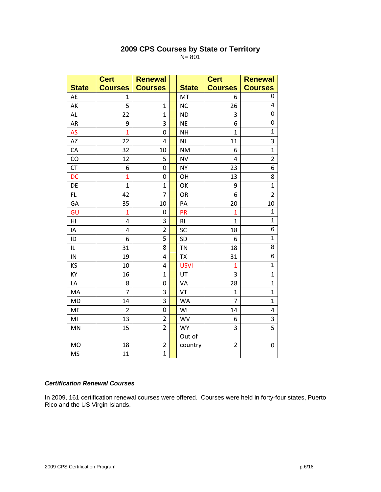|              | <b>Cert</b>    | <b>Renewal</b>   |                | <b>Cert</b>    | <b>Renewal</b> |
|--------------|----------------|------------------|----------------|----------------|----------------|
| <b>State</b> | <b>Courses</b> | <b>Courses</b>   | <b>State</b>   | <b>Courses</b> | <b>Courses</b> |
| AE           | $\mathbf{1}$   |                  | MT             | 6              | 0              |
| AK           | 5              | $\mathbf{1}$     | <b>NC</b>      | 26             | 4              |
| AL           | 22             | $\mathbf{1}$     | <b>ND</b>      | 3              | 0              |
| AR           | 9              | 3                | <b>NE</b>      | 6              | 0              |
| AS           | $\overline{1}$ | $\mathbf 0$      | <b>NH</b>      | $\mathbf{1}$   | $\mathbf{1}$   |
| AZ           | 22             | 4                | NJ             | 11             | 3              |
| CA           | 32             | 10               | <b>NM</b>      | 6              | $\mathbf{1}$   |
| CO           | 12             | 5                | <b>NV</b>      | 4              | $\overline{2}$ |
| <b>CT</b>    | 6              | 0                | <b>NY</b>      | 23             | 6              |
| <b>DC</b>    | $\overline{1}$ | 0                | OH             | 13             | 8              |
| DE           | $\mathbf{1}$   | $\mathbf{1}$     | OK             | 9              | $\mathbf{1}$   |
| FL.          | 42             | 7                | OR             | 6              | $\overline{2}$ |
| GA           | 35             | 10               | PA             | 20             | 10             |
| GU           | $\mathbf{1}$   | 0                | PR             | $\mathbf{1}$   | 1              |
| HI           | $\overline{4}$ | 3                | R <sub>l</sub> | $\mathbf{1}$   | $\mathbf{1}$   |
| IA           | 4              | $\overline{2}$   | SC             | 18             | 6              |
| ID           | 6              | 5                | SD             | 6              | $\mathbf{1}$   |
| IL           | 31             | 8                | <b>TN</b>      | 18             | 8              |
| IN           | 19             | 4                | <b>TX</b>      | 31             | 6              |
| KS           | 10             | 4                | <b>USVI</b>    | $\mathbf{1}$   | $\mathbf{1}$   |
| KY           | 16             | $\mathbf{1}$     | UT             | 3              | $\mathbf{1}$   |
| LA           | 8              | 0                | VA             | 28             | $\mathbf{1}$   |
| MA           | $\overline{7}$ | 3                | VT             | $\mathbf{1}$   | $\mathbf{1}$   |
| MD           | 14             | 3                | WA             | $\overline{7}$ | $\mathbf{1}$   |
| <b>ME</b>    | $\overline{2}$ | $\boldsymbol{0}$ | WI             | 14             | 4              |
| MI           | 13             | $\overline{2}$   | <b>WV</b>      | 6              | 3              |
| MN           | 15             | $\overline{2}$   | <b>WY</b>      | 3              | 5              |
|              |                |                  | Out of         |                |                |
| <b>MO</b>    | 18             | $\overline{2}$   | country        | $\overline{2}$ | 0              |
| <b>MS</b>    | 11             | $\mathbf{1}$     |                |                |                |

## **2009 CPS Courses by State or Territory** N= 801

## *Certification Renewal Courses*

In 2009, 161 certification renewal courses were offered. Courses were held in forty-four states, Puerto Rico and the US Virgin Islands.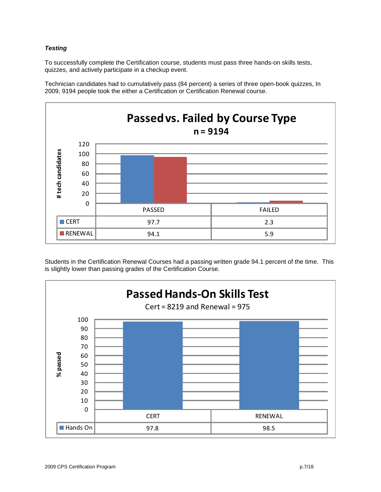## *Testing*

To successfully complete the Certification course, students must pass three hands-on skills tests, quizzes, and actively participate in a checkup event.





Students in the Certification Renewal Courses had a passing written grade 94.1 percent of the time. This is slightly lower than passing grades of the Certification Course.

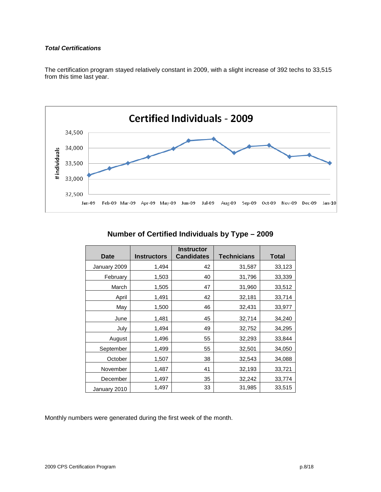## *Total Certifications*

The certification program stayed relatively constant in 2009, with a slight increase of 392 techs to 33,515 from this time last year.



**Number of Certified Individuals by Type – 2009**

| <b>Date</b>  | <b>Instructors</b> | <b>Instructor</b><br><b>Candidates</b> | <b>Technicians</b> | Total  |
|--------------|--------------------|----------------------------------------|--------------------|--------|
| January 2009 | 1,494              | 42                                     | 31,587             | 33,123 |
| February     | 1,503              | 40                                     | 31,796             | 33,339 |
| March        | 1,505              | 47                                     | 31,960             | 33,512 |
| April        | 1,491              | 42                                     | 32,181             | 33,714 |
| May          | 1,500              | 46                                     | 32,431             | 33,977 |
| June         | 1,481              | 45                                     | 32,714             | 34,240 |
| July         | 1,494              | 49                                     | 32,752             | 34,295 |
| August       | 1,496              | 55                                     | 32,293             | 33,844 |
| September    | 1,499              | 55                                     | 32,501             | 34,050 |
| October      | 1,507              | 38                                     | 32,543             | 34,088 |
| November     | 1,487              | 41                                     | 32,193             | 33,721 |
| December     | 1,497              | 35                                     | 32,242             | 33,774 |
| January 2010 | 1,497              | 33                                     | 31,985             | 33,515 |

Monthly numbers were generated during the first week of the month.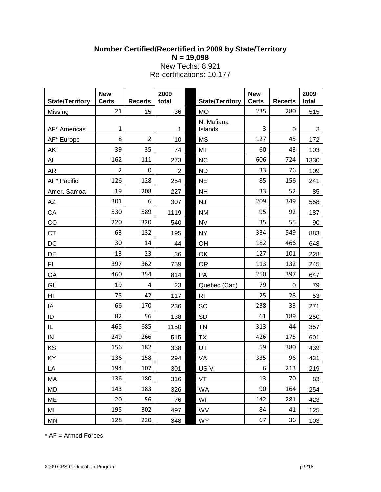## **Number Certified/Recertified in 2009 by State/Territory N = 19,098** New Techs: 8,921 Re-certifications: 10,177

| <b>State/Territory</b> | <b>New</b><br><b>Certs</b> | <b>Recerts</b> | 2009<br>total  | <b>State/Territory</b> | <b>New</b><br><b>Certs</b> | <b>Recerts</b> | 2009<br>total |
|------------------------|----------------------------|----------------|----------------|------------------------|----------------------------|----------------|---------------|
| Missing                | 21                         | 15             | 36             | <b>MO</b>              | 235                        | 280            | 515           |
| AF* Americas           | $\mathbf{1}$               |                | 1              | N. Mafiana<br>Islands  | 3                          | 0              | 3             |
| AF* Europe             | 8                          | $\overline{2}$ | 10             | <b>MS</b>              | 127                        | 45             | 172           |
| AK                     | 39                         | 35             | 74             | MT                     | 60                         | 43             | 103           |
| AL                     | 162                        | 111            | 273            | <b>NC</b>              | 606                        | 724            | 1330          |
| AR                     | $\overline{2}$             | $\mathbf 0$    | $\overline{2}$ | <b>ND</b>              | 33                         | 76             | 109           |
| AF* Pacific            | 126                        | 128            | 254            | <b>NE</b>              | 85                         | 156            | 241           |
| Amer. Samoa            | 19                         | 208            | 227            | <b>NH</b>              | 33                         | 52             | 85            |
| AZ                     | 301                        | 6              | 307            | <b>NJ</b>              | 209                        | 349            | 558           |
| CA                     | 530                        | 589            | 1119           | <b>NM</b>              | 95                         | 92             | 187           |
| CO                     | 220                        | 320            | 540            | <b>NV</b>              | 35                         | 55             | 90            |
| <b>CT</b>              | 63                         | 132            | 195            | <b>NY</b>              | 334                        | 549            | 883           |
| DC                     | 30                         | 14             | 44             | OH                     | 182                        | 466            | 648           |
| DE                     | 13                         | 23             | 36             | OK                     | 127                        | 101            | 228           |
| FL                     | 397                        | 362            | 759            | <b>OR</b>              | 113                        | 132            | 245           |
| GA                     | 460                        | 354            | 814            | PA                     | 250                        | 397            | 647           |
| GU                     | 19                         | $\overline{4}$ | 23             | Quebec (Can)           | 79                         | $\mathbf 0$    | 79            |
| HI                     | 75                         | 42             | 117            | R <sub>l</sub>         | 25                         | 28             | 53            |
| IA                     | 66                         | 170            | 236            | SC                     | 238                        | 33             | 271           |
| ID                     | 82                         | 56             | 138            | <b>SD</b>              | 61                         | 189            | 250           |
| IL                     | 465                        | 685            | 1150           | TN                     | 313                        | 44             | 357           |
| IN                     | 249                        | 266            | 515            | ТX                     | 426                        | 175            | 601           |
| KS                     | 156                        | 182            | 338            | UT                     | 59                         | 380            | 439           |
| KY                     | 136                        | 158            | 294            | VA                     | 335                        | 96             | 431           |
| LA                     | 194                        | 107            | 301            | US VI                  | 6                          | 213            | 219           |
| MA                     | 136                        | 180            | 316            | VT                     | 13                         | 70             | 83            |
| <b>MD</b>              | 143                        | 183            | 326            | <b>WA</b>              | 90                         | 164            | 254           |
| ME                     | 20                         | 56             | 76             | WI                     | 142                        | 281            | 423           |
| MI                     | 195                        | 302            | 497            | WV                     | 84                         | 41             | 125           |
| MN                     | 128                        | 220            | 348            | <b>WY</b>              | 67                         | 36             | 103           |

\* AF = Armed Forces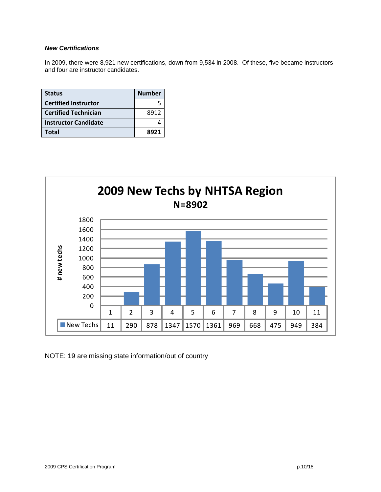### *New Certifications*

In 2009, there were 8,921 new certifications, down from 9,534 in 2008. Of these, five became instructors and four are instructor candidates.

| <b>Status</b>               | <b>Number</b> |
|-----------------------------|---------------|
| <b>Certified Instructor</b> |               |
| <b>Certified Technician</b> | 8912          |
| <b>Instructor Candidate</b> |               |
| Total                       | 8921          |



NOTE: 19 are missing state information/out of country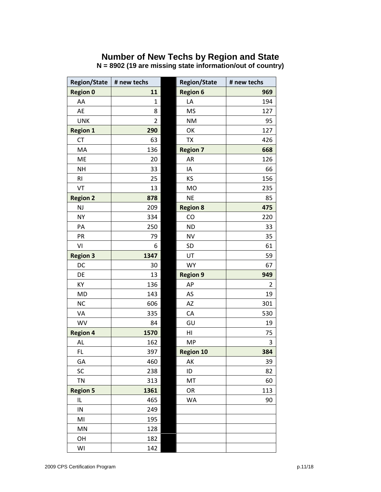## **Number of New Techs by Region and State**

| <b>Region/State</b> | # new techs | <b>Region/State</b> | # new techs |
|---------------------|-------------|---------------------|-------------|
| <b>Region 0</b>     | 11          | <b>Region 6</b>     | 969         |
| AA                  | 1           | LA                  | 194         |
| AE                  | 8           | <b>MS</b>           | 127         |
| <b>UNK</b>          | 2           | <b>NM</b>           | 95          |
| <b>Region 1</b>     | 290         | OK                  | 127         |
| <b>CT</b>           | 63          | <b>TX</b>           | 426         |
| MA                  | 136         | <b>Region 7</b>     | 668         |
| ME                  | 20          | AR                  | 126         |
| <b>NH</b>           | 33          | IA                  | 66          |
| R1                  | 25          | KS                  | 156         |
| VT                  | 13          | <b>MO</b>           | 235         |
| <b>Region 2</b>     | 878         | <b>NE</b>           | 85          |
| <b>NJ</b>           | 209         | <b>Region 8</b>     | 475         |
| <b>NY</b>           | 334         | CO                  | 220         |
| PA                  | 250         | <b>ND</b>           | 33          |
| PR                  | 79          | <b>NV</b>           | 35          |
| VI                  | 6           | SD                  | 61          |
| <b>Region 3</b>     | 1347        | UT                  | 59          |
| DC                  | 30          | <b>WY</b>           | 67          |
| DE                  | 13          | <b>Region 9</b>     | 949         |
| KY                  | 136         | AP                  | 2           |
| <b>MD</b>           | 143         | AS                  | 19          |
| <b>NC</b>           | 606         | AZ                  | 301         |
| VA                  | 335         | CA                  | 530         |
| <b>WV</b>           | 84          | GU                  | 19          |
| <b>Region 4</b>     | 1570        | HI                  | 75          |
| AL                  | 162         | <b>MP</b>           | 3           |
| <b>FL</b>           | 397         | <b>Region 10</b>    | 384         |
| GA                  | 460         | AK                  | 39          |
| SC                  | 238         | ID                  | 82          |
| <b>TN</b>           | 313         | MT                  | 60          |
| <b>Region 5</b>     | 1361        | OR                  | 113         |
| IL                  | 465         | <b>WA</b>           | 90          |
| IN                  | 249         |                     |             |
| MI                  | 195         |                     |             |
| MN                  | 128         |                     |             |
| OH                  | 182         |                     |             |
| WI                  | 142         |                     |             |

**N = 8902 (19 are missing state information/out of country)**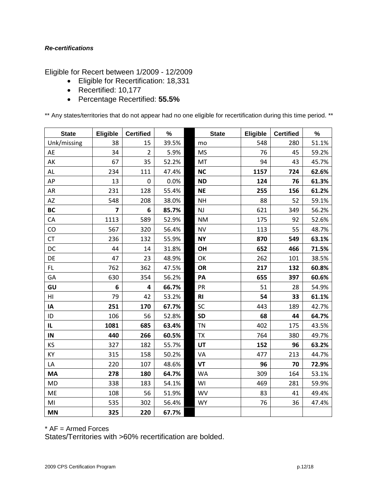## *Re-certifications*

Eligible for Recert between 1/2009 - 12/2009

- Eligible for Recertification: 18,331
- Recertified: 10,177
- Percentage Recertified: **55.5%**

\*\* Any states/territories that do not appear had no one eligible for recertification during this time period. \*\*

| <b>State</b>   | Eligible       | <b>Certified</b> | %     | <b>State</b> | <b>Eligible</b> | <b>Certified</b> | %     |
|----------------|----------------|------------------|-------|--------------|-----------------|------------------|-------|
| Unk/missing    | 38             | 15               | 39.5% | mo           | 548             | 280              | 51.1% |
| AE             | 34             | $\overline{2}$   | 5.9%  | <b>MS</b>    | 76              | 45               | 59.2% |
| AK             | 67             | 35               | 52.2% | MT           | 94              | 43               | 45.7% |
| AL             | 234            | 111              | 47.4% | <b>NC</b>    | 1157            | 724              | 62.6% |
| AP             | 13             | $\mathbf 0$      | 0.0%  | <b>ND</b>    | 124             | 76               | 61.3% |
| AR             | 231            | 128              | 55.4% | <b>NE</b>    | 255             | 156              | 61.2% |
| AZ             | 548            | 208              | 38.0% | <b>NH</b>    | 88              | 52               | 59.1% |
| <b>BC</b>      | $\overline{7}$ | 6                | 85.7% | NJ           | 621             | 349              | 56.2% |
| CA             | 1113           | 589              | 52.9% | <b>NM</b>    | 175             | 92               | 52.6% |
| CO             | 567            | 320              | 56.4% | <b>NV</b>    | 113             | 55               | 48.7% |
| <b>CT</b>      | 236            | 132              | 55.9% | <b>NY</b>    | 870             | 549              | 63.1% |
| DC             | 44             | 14               | 31.8% | OH           | 652             | 466              | 71.5% |
| DE             | 47             | 23               | 48.9% | OK           | 262             | 101              | 38.5% |
| FL.            | 762            | 362              | 47.5% | <b>OR</b>    | 217             | 132              | 60.8% |
| GA             | 630            | 354              | 56.2% | PA           | 655             | 397              | 60.6% |
| GU             | 6              | 4                | 66.7% | PR           | 51              | 28               | 54.9% |
| H <sub>l</sub> | 79             | 42               | 53.2% | <b>RI</b>    | 54              | 33               | 61.1% |
| IA             | 251            | 170              | 67.7% | SC           | 443             | 189              | 42.7% |
| ID             | 106            | 56               | 52.8% | <b>SD</b>    | 68              | 44               | 64.7% |
| IL.            | 1081           | 685              | 63.4% | <b>TN</b>    | 402             | 175              | 43.5% |
| IN             | 440            | 266              | 60.5% | <b>TX</b>    | 764             | 380              | 49.7% |
| KS             | 327            | 182              | 55.7% | UT           | 152             | 96               | 63.2% |
| KY             | 315            | 158              | 50.2% | VA           | 477             | 213              | 44.7% |
| LA             | 220            | 107              | 48.6% | <b>VT</b>    | 96              | 70               | 72.9% |
| MA             | 278            | 180              | 64.7% | WA           | 309             | 164              | 53.1% |
| <b>MD</b>      | 338            | 183              | 54.1% | WI           | 469             | 281              | 59.9% |
| <b>ME</b>      | 108            | 56               | 51.9% | <b>WV</b>    | 83              | 41               | 49.4% |
| MI             | 535            | 302              | 56.4% | <b>WY</b>    | 76              | 36               | 47.4% |
| <b>MN</b>      | 325            | 220              | 67.7% |              |                 |                  |       |

\* AF = Armed Forces

States/Territories with >60% recertification are bolded.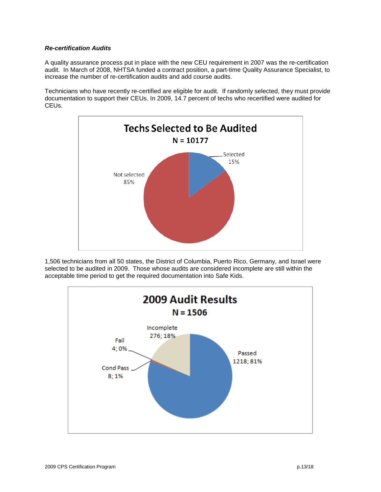## *Re-certification Audits*

A quality assurance process put in place with the new CEU requirement in 2007 was the re-certification audit. In March of 2008, NHTSA funded a contract position, a part-time Quality Assurance Specialist, to increase the number of re-certification audits and add course audits.

Technicians who have recently re-certified are eligible for audit. If randomly selected, they must provide documentation to support their CEUs. In 2009, 14.7 percent of techs who recertified were audited for CEUs.



1,506 technicians from all 50 states, the District of Columbia, Puerto Rico, Germany, and Israel were selected to be audited in 2009. Those whose audits are considered incomplete are still within the acceptable time period to get the required documentation into Safe Kids.

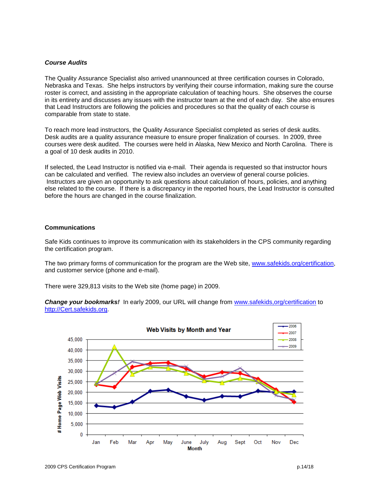#### *Course Audits*

The Quality Assurance Specialist also arrived unannounced at three certification courses in Colorado, Nebraska and Texas. She helps instructors by verifying their course information, making sure the course roster is correct, and assisting in the appropriate calculation of teaching hours. She observes the course in its entirety and discusses any issues with the instructor team at the end of each day. She also ensures that Lead Instructors are following the policies and procedures so that the quality of each course is comparable from state to state.

To reach more lead instructors, the Quality Assurance Specialist completed as series of desk audits. Desk audits are a quality assurance measure to ensure proper finalization of courses. In 2009, three courses were desk audited. The courses were held in Alaska, New Mexico and North Carolina. There is a goal of 10 desk audits in 2010.

If selected, the Lead Instructor is notified via e-mail. Their agenda is requested so that instructor hours can be calculated and verified. The review also includes an overview of general course policies. Instructors are given an opportunity to ask questions about calculation of hours, policies, and anything else related to the course. If there is a discrepancy in the reported hours, the Lead Instructor is consulted before the hours are changed in the course finalization.

#### **Communications**

Safe Kids continues to improve its communication with its stakeholders in the CPS community regarding the certification program.

The two primary forms of communication for the program are the Web site, [www.safekids.org/certification,](http://www.safekids.org/certification) and customer service (phone and e-mail).

There were 329,813 visits to the Web site (home page) in 2009.

*Change your bookmarks!* In early 2009, our URL will change from [www.safekids,org/certification](http://www.safekids,org/certification) to [http://Cert.safekids.org.](http://cert.safekids.org/)

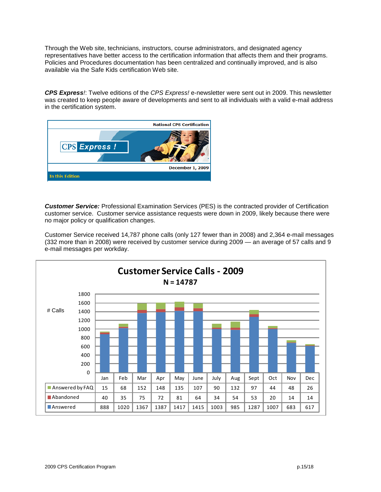Through the Web site, technicians, instructors, course administrators, and designated agency representatives have better access to the certification information that affects them and their programs. Policies and Procedures documentation has been centralized and continually improved, and is also available via the Safe Kids certification Web site.

*CPS Express!*: Twelve editions of the *CPS Express!* e-newsletter were sent out in 2009. This newsletter was created to keep people aware of developments and sent to all individuals with a valid e-mail address in the certification system.



*Customer Service:* Professional Examination Services (PES) is the contracted provider of Certification customer service. Customer service assistance requests were down in 2009, likely because there were no major policy or qualification changes.

Customer Service received 14,787 phone calls (only 127 fewer than in 2008) and 2,364 e-mail messages (332 more than in 2008) were received by customer service during 2009 — an average of 57 calls and 9 e-mail messages per workday.

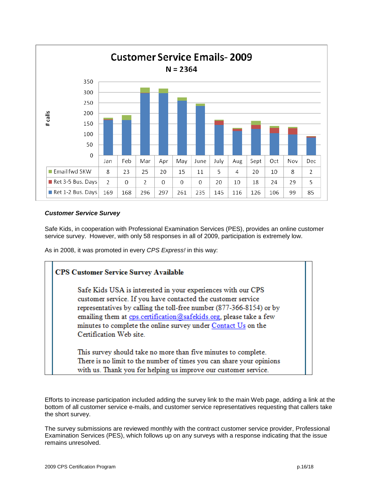

## *Customer Service Survey*

Safe Kids, in cooperation with Professional Examination Services (PES), provides an online customer service survey. However, with only 58 responses in all of 2009, participation is extremely low.

As in 2008, it was promoted in every *CPS Express!* in this way:

| <b>CPS Customer Service Survey Available</b>                                                                                                                                                                                                                                                                                                                           |
|------------------------------------------------------------------------------------------------------------------------------------------------------------------------------------------------------------------------------------------------------------------------------------------------------------------------------------------------------------------------|
| Safe Kids USA is interested in your experiences with our CPS<br>customer service. If you have contacted the customer service<br>representatives by calling the toll-free number (877-366-8154) or by<br>emailing them at cps.certification@safekids.org, please take a few<br>minutes to complete the online survey under Contact Us on the<br>Certification Web site. |
| This survey should take no more than five minutes to complete.<br>There is no limit to the number of times you can share your opinions<br>with us. Thank you for helping us improve our customer service.                                                                                                                                                              |

Efforts to increase participation included adding the survey link to the main Web page, adding a link at the bottom of all customer service e-mails, and customer service representatives requesting that callers take the short survey.

The survey submissions are reviewed monthly with the contract customer service provider, Professional Examination Services (PES), which follows up on any surveys with a response indicating that the issue remains unresolved.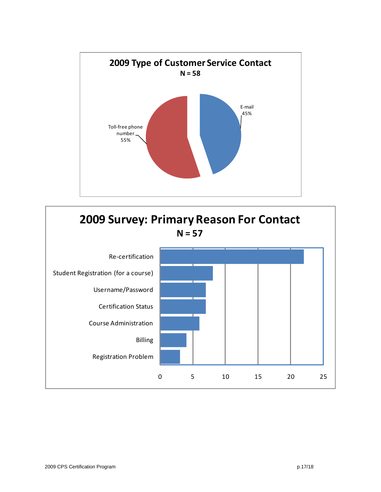